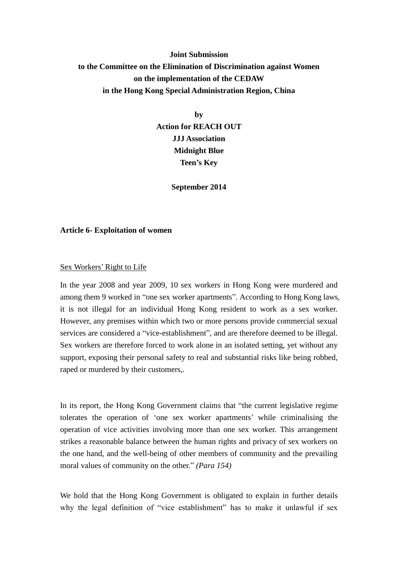# **Joint Submission to the Committee on the Elimination of Discrimination against Women on the implementation of the CEDAW in the Hong Kong Special Administration Region, China**

**by Action for REACH OUT JJJ Association Midnight Blue Teen's Key**

**September 2014**

#### **Article 6- Exploitation of women**

#### Sex Workers' Right to Life

In the year 2008 and year 2009, 10 sex workers in Hong Kong were murdered and among them 9 worked in "one sex worker apartments". According to Hong Kong laws, it is not illegal for an individual Hong Kong resident to work as a sex worker. However, any premises within which two or more persons provide commercial sexual services are considered a "vice-establishment", and are therefore deemed to be illegal. Sex workers are therefore forced to work alone in an isolated setting, yet without any support, exposing their personal safety to real and substantial risks like being robbed, raped or murdered by their customers,.

In its report, the Hong Kong Government claims that "the current legislative regime tolerates the operation of 'one sex worker apartments' while criminalising the operation of vice activities involving more than one sex worker. This arrangement strikes a reasonable balance between the human rights and privacy of sex workers on the one hand, and the well-being of other members of community and the prevailing moral values of community on the other." *(Para 154)*

We hold that the Hong Kong Government is obligated to explain in further details why the legal definition of "vice establishment" has to make it unlawful if sex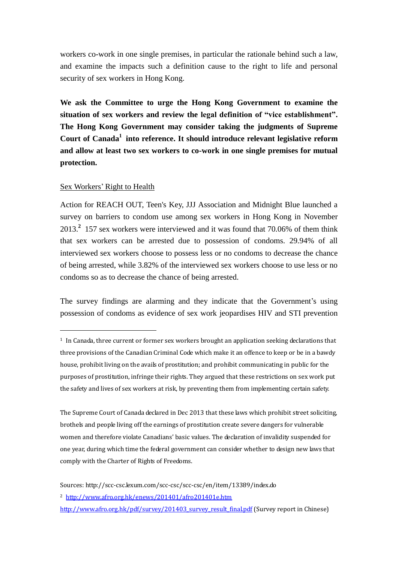workers co-work in one single premises, in particular the rationale behind such a law, and examine the impacts such a definition cause to the right to life and personal security of sex workers in Hong Kong.

**We ask the Committee to urge the Hong Kong Government to examine the situation of sex workers and review the legal definition of "vice establishment". The Hong Kong Government may consider taking the judgments of Supreme Court of Canada<sup>1</sup> into reference. It should introduce relevant legislative reform and allow at least two sex workers to co-work in one single premises for mutual protection.**

## Sex Workers' Right to Health

<u>.</u>

Action for REACH OUT, Teen's Key, JJJ Association and Midnight Blue launched a survey on barriers to condom use among sex workers in Hong Kong in November 2013. **2** 157 sex workers were interviewed and it was found that 70.06% of them think that sex workers can be arrested due to possession of condoms. 29.94% of all interviewed sex workers choose to possess less or no condoms to decrease the chance of being arrested, while 3.82% of the interviewed sex workers choose to use less or no condoms so as to decrease the chance of being arrested.

The survey findings are alarming and they indicate that the Government's using possession of condoms as evidence of sex work jeopardises HIV and STI prevention

 $1$  In Canada, three current or former sex workers brought an application seeking declarations that three provisions of the Canadian Criminal Code which make it an offence to keep or be in a bawdy house, prohibit living on the avails of prostitution; and prohibit communicating in public for the purposes of prostitution, infringe their rights. They argued that these restrictions on sex work put the safety and lives of sex workers at risk, by preventing them from implementing certain safety.

The Supreme Court of Canada declared in Dec 2013 that these laws which prohibit street soliciting, brothels and people living off the earnings of prostitution create severe dangers for vulnerable women and therefore violate Canadians' basic values. The declaration of invalidity suspended for one year, during which time the federal government can consider whether to design new laws that comply with the Charter of Rights of Freedoms.

Sources: http://scc-csc.lexum.com/scc-csc/scc-csc/en/item/13389/index.do

<sup>2</sup> <http://www.afro.org.hk/enews/201401/afro201401e.htm>

[http://www.afro.org.hk/pdf/survey/201403\\_survey\\_result\\_final.pdf](http://www.afro.org.hk/pdf/survey/201403_survey_result_final.pdf) (Survey report in Chinese)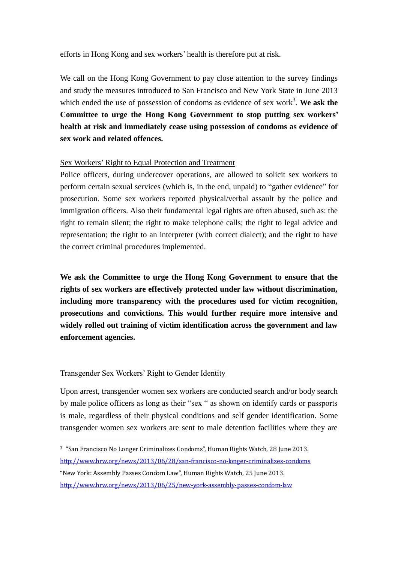efforts in Hong Kong and sex workers' health is therefore put at risk.

We call on the Hong Kong Government to pay close attention to the survey findings and study the measures introduced to San Francisco and New York State in June 2013 which ended the use of possession of condoms as evidence of sex work<sup>3</sup>. We ask the **Committee to urge the Hong Kong Government to stop putting sex workers' health at risk and immediately cease using possession of condoms as evidence of sex work and related offences.** 

# Sex Workers' Right to Equal Protection and Treatment

Police officers, during undercover operations, are allowed to solicit sex workers to perform certain sexual services (which is, in the end, unpaid) to "gather evidence" for prosecution. Some sex workers reported physical/verbal assault by the police and immigration officers. Also their fundamental legal rights are often abused, such as: the right to remain silent; the right to make telephone calls; the right to legal advice and representation; the right to an interpreter (with correct dialect); and the right to have the correct criminal procedures implemented.

**We ask the Committee to urge the Hong Kong Government to ensure that the rights of sex workers are effectively protected under law without discrimination, including more transparency with the procedures used for victim recognition, prosecutions and convictions. This would further require more intensive and widely rolled out training of victim identification across the government and law enforcement agencies.** 

## Transgender Sex Workers' Right to Gender Identity

<u>.</u>

Upon arrest, transgender women sex workers are conducted search and/or body search by male police officers as long as their "sex " as shown on identify cards or passports is male, regardless of their physical conditions and self gender identification. Some transgender women sex workers are sent to male detention facilities where they are

<sup>3</sup> "San Francisco No Longer Criminalizes Condoms", Human Rights Watch, 28 June 2013. <http://www.hrw.org/news/2013/06/28/san-francisco-no-longer-criminalizes-condoms> "New York: Assembly Passes Condom Law", Human Rights Watch, 25 June 2013. <http://www.hrw.org/news/2013/06/25/new-york-assembly-passes-condom-law>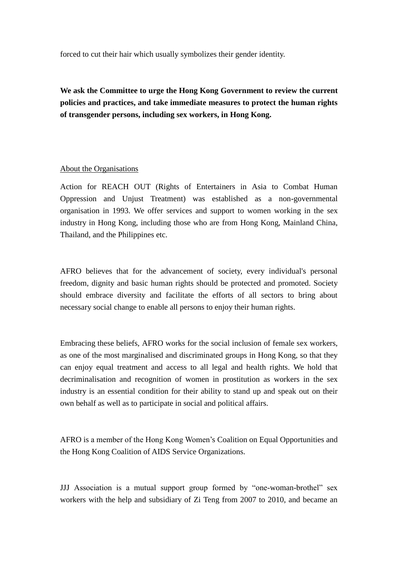forced to cut their hair which usually symbolizes their gender identity.

**We ask the Committee to urge the Hong Kong Government to review the current policies and practices, and take immediate measures to protect the human rights of transgender persons, including sex workers, in Hong Kong.**

# About the Organisations

Action for REACH OUT (Rights of Entertainers in Asia to Combat Human Oppression and Unjust Treatment) was established as a non-governmental organisation in 1993. We offer services and support to women working in the sex industry in Hong Kong, including those who are from Hong Kong, Mainland China, Thailand, and the Philippines etc.

AFRO believes that for the advancement of society, every individual's personal freedom, dignity and basic human rights should be protected and promoted. Society should embrace diversity and facilitate the efforts of all sectors to bring about necessary social change to enable all persons to enjoy their human rights.

Embracing these beliefs, AFRO works for the social inclusion of female sex workers, as one of the most marginalised and discriminated groups in Hong Kong, so that they can enjoy equal treatment and access to all legal and health rights. We hold that decriminalisation and recognition of women in prostitution as workers in the sex industry is an essential condition for their ability to stand up and speak out on their own behalf as well as to participate in social and political affairs.

AFRO is a member of the Hong Kong Women's Coalition on Equal Opportunities and the Hong Kong Coalition of AIDS Service Organizations.

JJJ Association is a mutual support group formed by "one-woman-brothel" sex workers with the help and subsidiary of Zi Teng from 2007 to 2010, and became an